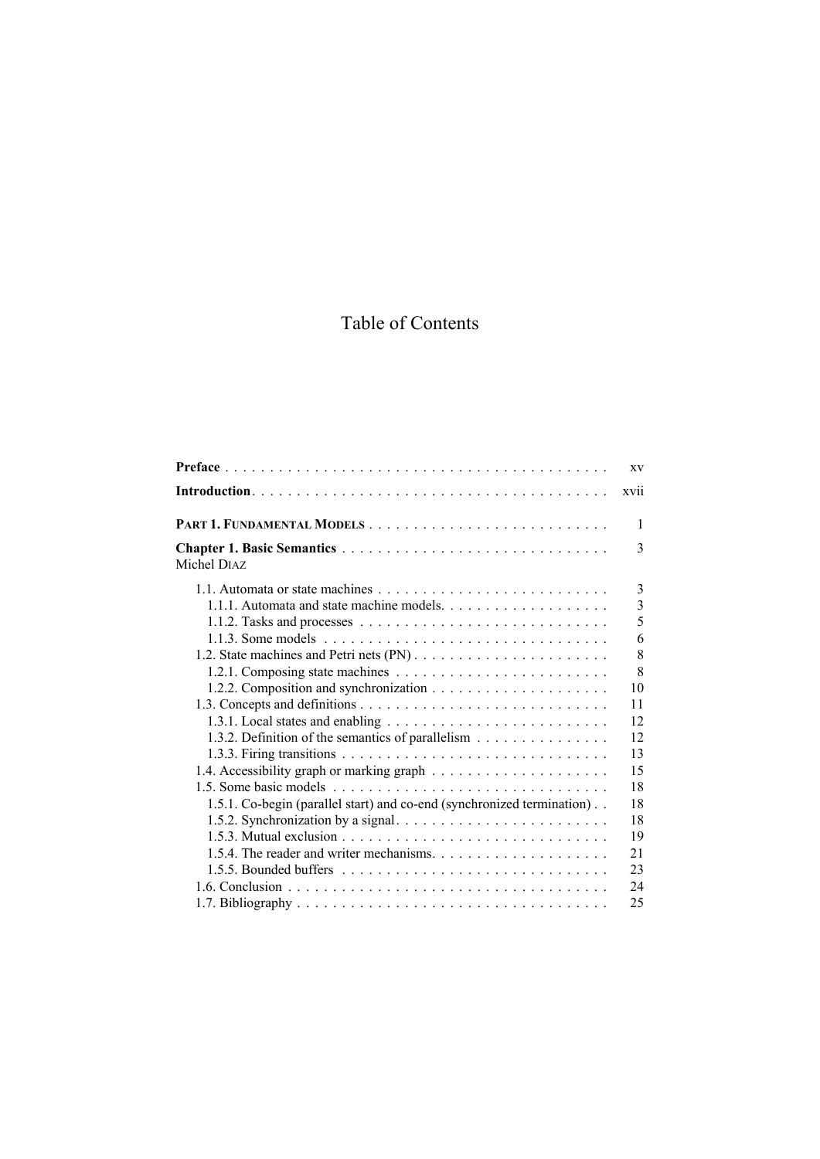## Table of Contents

| XV                                                                                           |  |
|----------------------------------------------------------------------------------------------|--|
| <b>XV11</b>                                                                                  |  |
| $\mathbf{1}$                                                                                 |  |
| $\mathcal{E}$<br>Michel DIAZ                                                                 |  |
| 3                                                                                            |  |
| $\overline{3}$                                                                               |  |
| 5                                                                                            |  |
| 6                                                                                            |  |
| 8                                                                                            |  |
| 8                                                                                            |  |
| 10                                                                                           |  |
| 11                                                                                           |  |
| 12                                                                                           |  |
| 1.3.2. Definition of the semantics of parallelism<br>12                                      |  |
| 13                                                                                           |  |
| 15                                                                                           |  |
| 18                                                                                           |  |
| 1.5.1. Co-begin (parallel start) and co-end (synchronized termination)<br>18                 |  |
| 1.5.2. Synchronization by a signal. $\ldots \ldots \ldots \ldots \ldots \ldots \ldots$<br>18 |  |
| 19                                                                                           |  |
| 21                                                                                           |  |
| 23                                                                                           |  |
| 24                                                                                           |  |
| 25                                                                                           |  |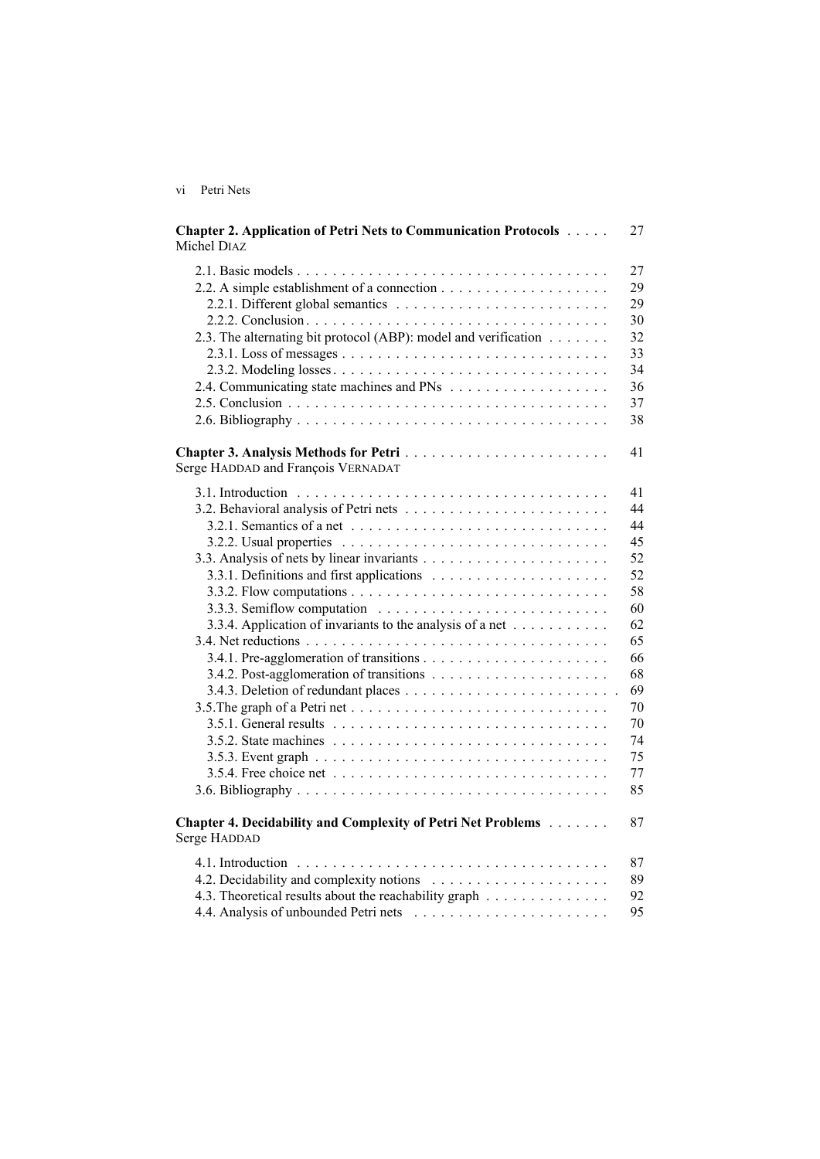| V1 | Petri Nets |  |
|----|------------|--|
|    |            |  |
|    |            |  |

| <b>Chapter 2. Application of Petri Nets to Communication Protocols </b><br>Michel DIAZ | 27 |
|----------------------------------------------------------------------------------------|----|
|                                                                                        | 27 |
|                                                                                        | 29 |
|                                                                                        | 29 |
|                                                                                        | 30 |
| 2.3. The alternating bit protocol (ABP): model and verification                        | 32 |
|                                                                                        | 33 |
|                                                                                        | 34 |
|                                                                                        | 36 |
|                                                                                        | 37 |
|                                                                                        | 38 |
| Serge HADDAD and François VERNADAT                                                     | 41 |
|                                                                                        | 41 |
|                                                                                        | 44 |
|                                                                                        | 44 |
|                                                                                        | 45 |
|                                                                                        | 52 |
|                                                                                        | 52 |
|                                                                                        | 58 |
|                                                                                        | 60 |
| 3.3.4. Application of invariants to the analysis of a net                              | 62 |
|                                                                                        | 65 |
|                                                                                        | 66 |
|                                                                                        | 68 |
|                                                                                        | 69 |
|                                                                                        | 70 |
|                                                                                        | 70 |
|                                                                                        | 74 |
|                                                                                        | 75 |
|                                                                                        | 77 |
|                                                                                        | 85 |
| <b>Chapter 4. Decidability and Complexity of Petri Net Problems</b><br>Serge HADDAD    | 87 |
|                                                                                        | 87 |
|                                                                                        | 89 |
| 4.3. Theoretical results about the reachability graph                                  | 92 |
|                                                                                        | 95 |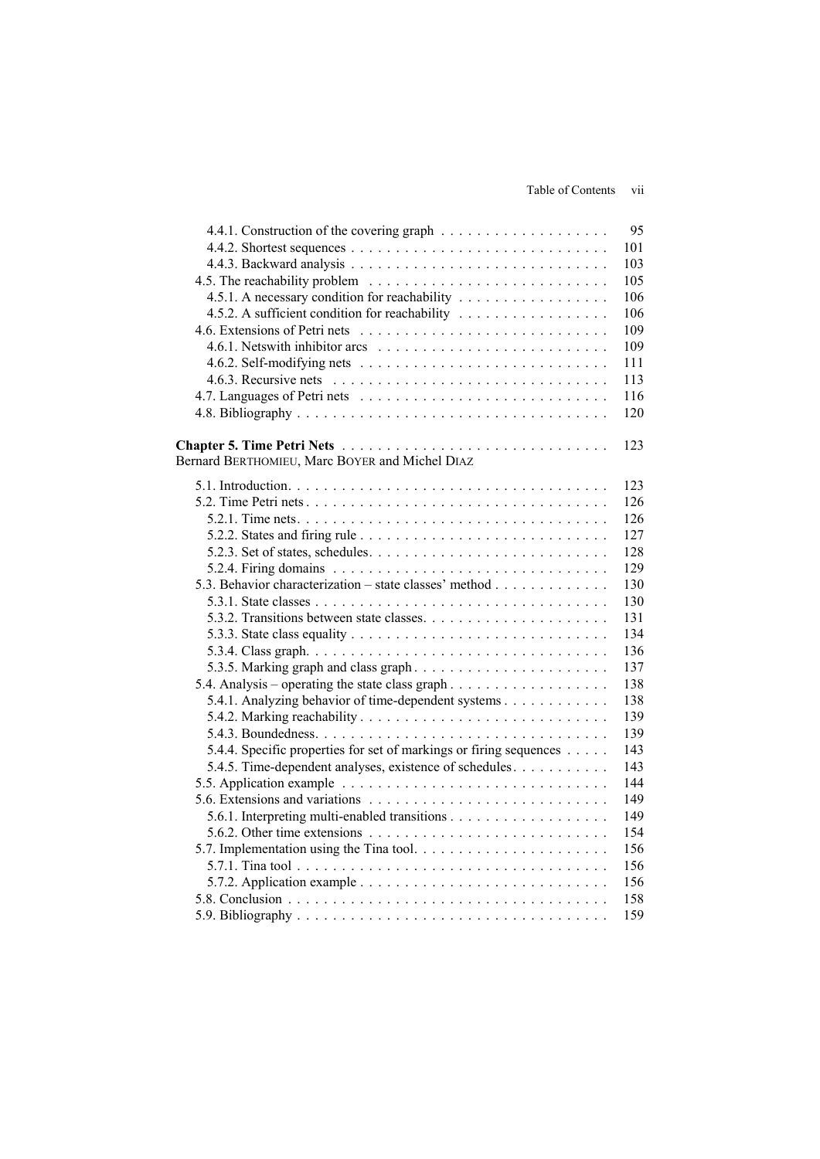## Table of Contents vii

|                                                                                        | 95  |
|----------------------------------------------------------------------------------------|-----|
|                                                                                        | 101 |
|                                                                                        | 103 |
|                                                                                        | 105 |
| 4.5.1. A necessary condition for reachability                                          | 106 |
| 4.5.2. A sufficient condition for reachability                                         | 106 |
|                                                                                        | 109 |
|                                                                                        | 109 |
|                                                                                        | 111 |
|                                                                                        | 113 |
|                                                                                        | 116 |
|                                                                                        | 120 |
|                                                                                        |     |
|                                                                                        | 123 |
| Bernard BERTHOMIEU, Marc BOYER and Michel DIAZ                                         |     |
|                                                                                        | 123 |
|                                                                                        | 126 |
|                                                                                        | 126 |
|                                                                                        | 127 |
|                                                                                        | 128 |
|                                                                                        | 129 |
| 5.3. Behavior characterization – state classes' method                                 | 130 |
|                                                                                        | 130 |
|                                                                                        | 131 |
|                                                                                        | 134 |
|                                                                                        | 136 |
| 5.3.5. Marking graph and class graph                                                   | 137 |
|                                                                                        | 138 |
| 5.4.1. Analyzing behavior of time-dependent systems                                    | 138 |
|                                                                                        | 139 |
|                                                                                        | 139 |
| 5.4.4. Specific properties for set of markings or firing sequences                     | 143 |
| 5.4.5. Time-dependent analyses, existence of schedules.                                | 143 |
|                                                                                        | 144 |
|                                                                                        | 149 |
|                                                                                        | 149 |
| 5.6.2. Other time extensions $\ldots \ldots \ldots \ldots \ldots \ldots \ldots \ldots$ | 154 |
|                                                                                        | 156 |
|                                                                                        | 156 |
|                                                                                        | 156 |
|                                                                                        | 158 |
|                                                                                        | 159 |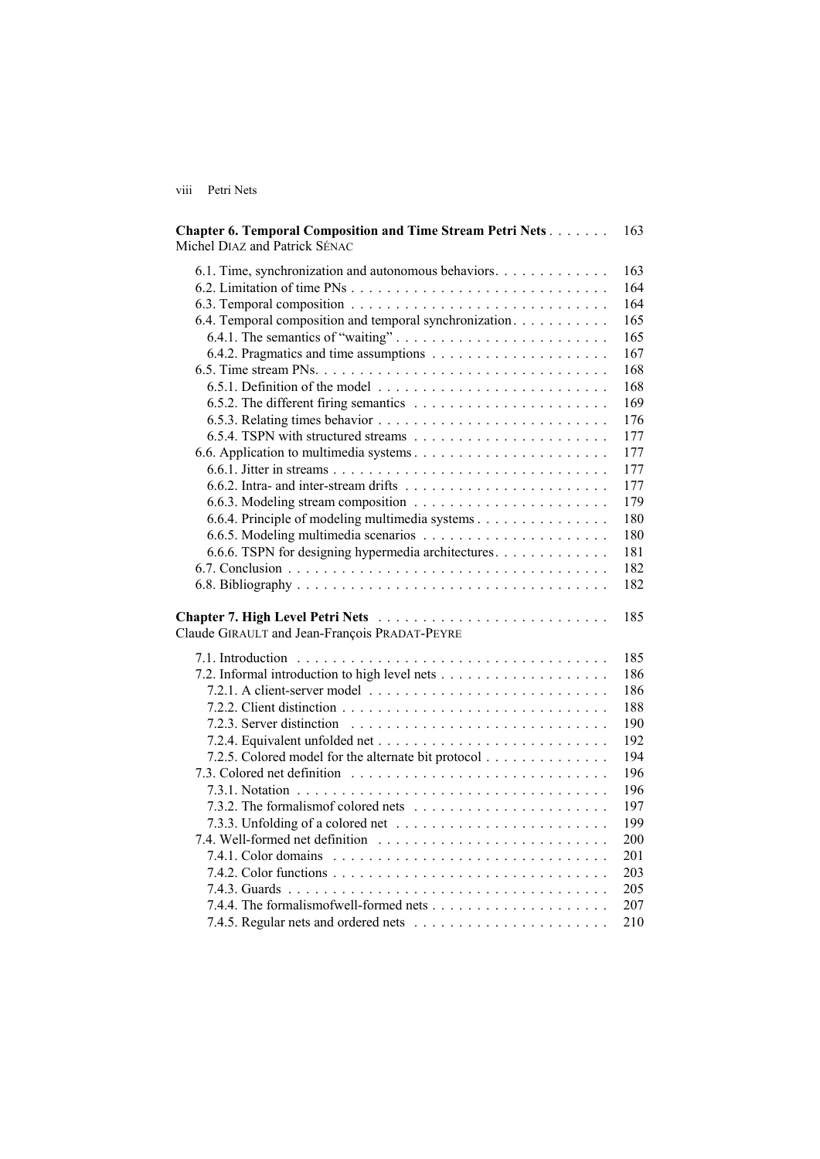viii Petri Nets

| <b>Chapter 6. Temporal Composition and Time Stream Petri Nets</b><br>Michel DIAZ and Patrick SÉNAC | 163 |
|----------------------------------------------------------------------------------------------------|-----|
| 6.1. Time, synchronization and autonomous behaviors.                                               | 163 |
|                                                                                                    | 164 |
|                                                                                                    | 164 |
| 6.4. Temporal composition and temporal synchronization.                                            | 165 |
| 6.4.1. The semantics of "waiting"                                                                  | 165 |
|                                                                                                    | 167 |
|                                                                                                    | 168 |
|                                                                                                    | 168 |
|                                                                                                    | 169 |
|                                                                                                    | 176 |
|                                                                                                    | 177 |
|                                                                                                    | 177 |
|                                                                                                    | 177 |
|                                                                                                    | 177 |
|                                                                                                    | 179 |
| 6.6.4. Principle of modeling multimedia systems                                                    | 180 |
|                                                                                                    | 180 |
| 6.6.6. TSPN for designing hypermedia architectures.                                                | 181 |
|                                                                                                    | 182 |
|                                                                                                    | 182 |
| Claude GIRAULT and Jean-François PRADAT-PEYRE                                                      | 185 |
| 7.1. Introduction                                                                                  | 185 |
|                                                                                                    | 186 |
|                                                                                                    | 186 |
|                                                                                                    | 188 |
|                                                                                                    | 190 |
|                                                                                                    | 192 |
| 7.2.5. Colored model for the alternate bit protocol                                                | 194 |
|                                                                                                    | 196 |
|                                                                                                    | 196 |
|                                                                                                    | 197 |
|                                                                                                    | 199 |
|                                                                                                    | 200 |
|                                                                                                    | 201 |
|                                                                                                    | 203 |
|                                                                                                    | 205 |
|                                                                                                    | 207 |
|                                                                                                    | 210 |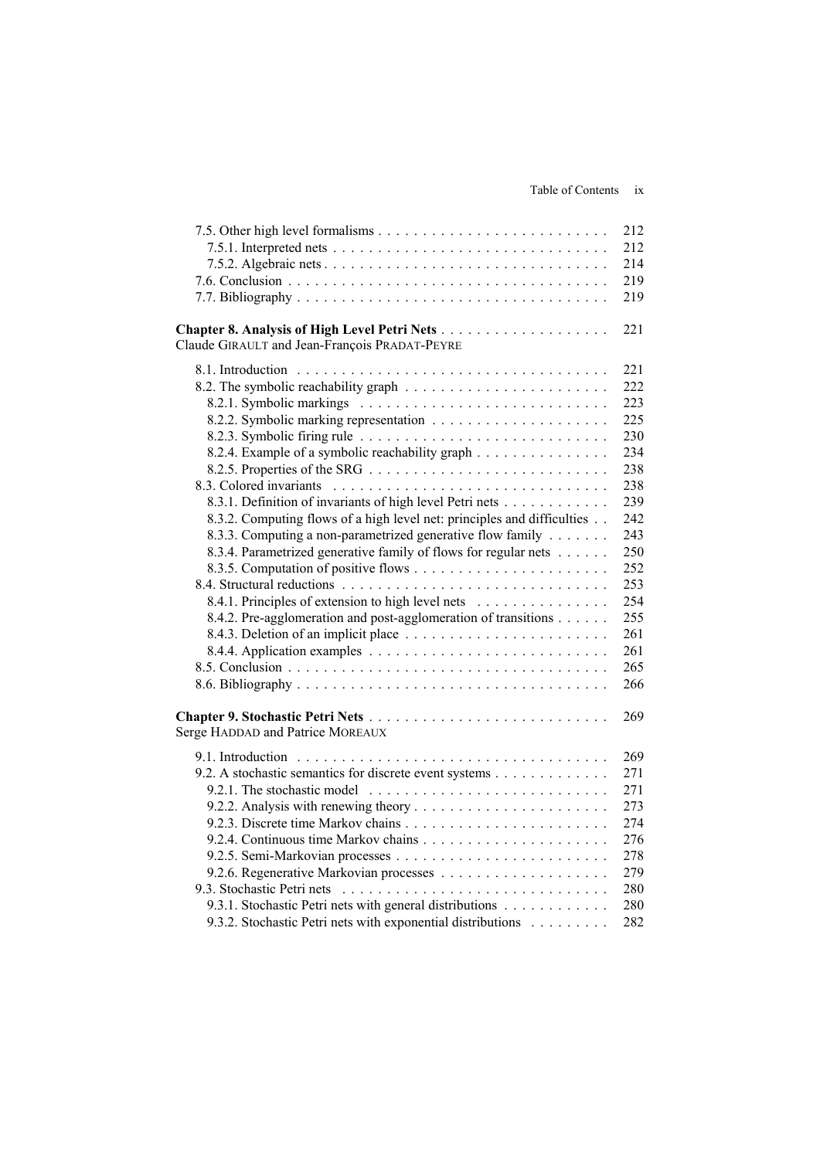|                                                                         | 212 |
|-------------------------------------------------------------------------|-----|
|                                                                         | 212 |
|                                                                         | 214 |
|                                                                         | 219 |
|                                                                         | 219 |
| Claude GIRAULT and Jean-François PRADAT-PEYRE                           | 221 |
|                                                                         | 221 |
|                                                                         | 222 |
|                                                                         | 223 |
|                                                                         | 225 |
|                                                                         | 230 |
| 8.2.4. Example of a symbolic reachability graph                         | 234 |
|                                                                         | 238 |
|                                                                         | 238 |
| 8.3.1. Definition of invariants of high level Petri nets                | 239 |
| 8.3.2. Computing flows of a high level net: principles and difficulties | 242 |
| 8.3.3. Computing a non-parametrized generative flow family              | 243 |
| 8.3.4. Parametrized generative family of flows for regular nets         | 250 |
|                                                                         | 252 |
|                                                                         | 253 |
| 8.4.1. Principles of extension to high level nets                       | 254 |
| 8.4.2. Pre-agglomeration and post-agglomeration of transitions          | 255 |
|                                                                         | 261 |
|                                                                         | 261 |
|                                                                         | 265 |
|                                                                         | 266 |
|                                                                         |     |
|                                                                         | 269 |
| Serge HADDAD and Patrice MOREAUX                                        |     |
|                                                                         | 269 |
| 9.2. A stochastic semantics for discrete event systems                  | 271 |
|                                                                         | 271 |
|                                                                         | 273 |
|                                                                         | 274 |
|                                                                         | 276 |
|                                                                         | 278 |
|                                                                         | 279 |
|                                                                         | 280 |
| 9.3.1. Stochastic Petri nets with general distributions                 | 280 |
| 9.3.2. Stochastic Petri nets with exponential distributions             | 282 |
|                                                                         |     |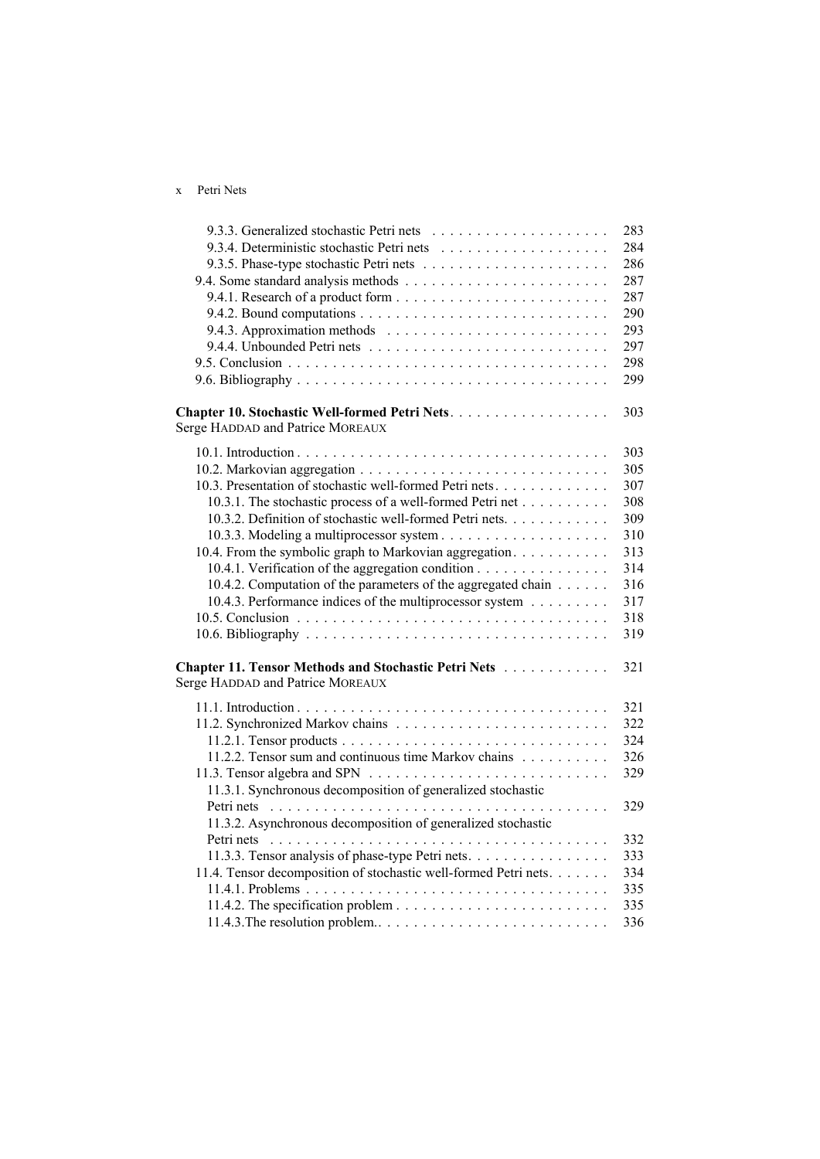## x Petri Nets

|                                                                                          | 283 |
|------------------------------------------------------------------------------------------|-----|
|                                                                                          | 284 |
|                                                                                          | 286 |
|                                                                                          | 287 |
|                                                                                          | 287 |
|                                                                                          | 290 |
|                                                                                          | 293 |
|                                                                                          | 297 |
|                                                                                          | 298 |
|                                                                                          | 299 |
| Chapter 10. Stochastic Well-formed Petri Nets.<br>Serge HADDAD and Patrice MOREAUX       | 303 |
|                                                                                          | 303 |
|                                                                                          | 305 |
| 10.3. Presentation of stochastic well-formed Petri nets.                                 | 307 |
| 10.3.1. The stochastic process of a well-formed Petri net                                | 308 |
| 10.3.2. Definition of stochastic well-formed Petri nets.                                 | 309 |
|                                                                                          | 310 |
| 10.4. From the symbolic graph to Markovian aggregation.                                  | 313 |
| 10.4.1. Verification of the aggregation condition                                        | 314 |
| 10.4.2. Computation of the parameters of the aggregated chain                            | 316 |
| 10.4.3. Performance indices of the multiprocessor system                                 | 317 |
|                                                                                          | 318 |
|                                                                                          | 319 |
| Chapter 11. Tensor Methods and Stochastic Petri Nets<br>Serge HADDAD and Patrice MOREAUX | 321 |
|                                                                                          | 321 |
|                                                                                          | 322 |
|                                                                                          | 324 |
| 11.2.2. Tensor sum and continuous time Markov chains                                     | 326 |
| 11.3.1. Synchronous decomposition of generalized stochastic                              | 329 |
|                                                                                          | 329 |
| 11.3.2. Asynchronous decomposition of generalized stochastic                             |     |
|                                                                                          | 332 |
| 11.3.3. Tensor analysis of phase-type Petri nets.                                        | 333 |
| 11.4. Tensor decomposition of stochastic well-formed Petri nets.                         | 334 |
|                                                                                          | 335 |
|                                                                                          | 335 |
|                                                                                          | 336 |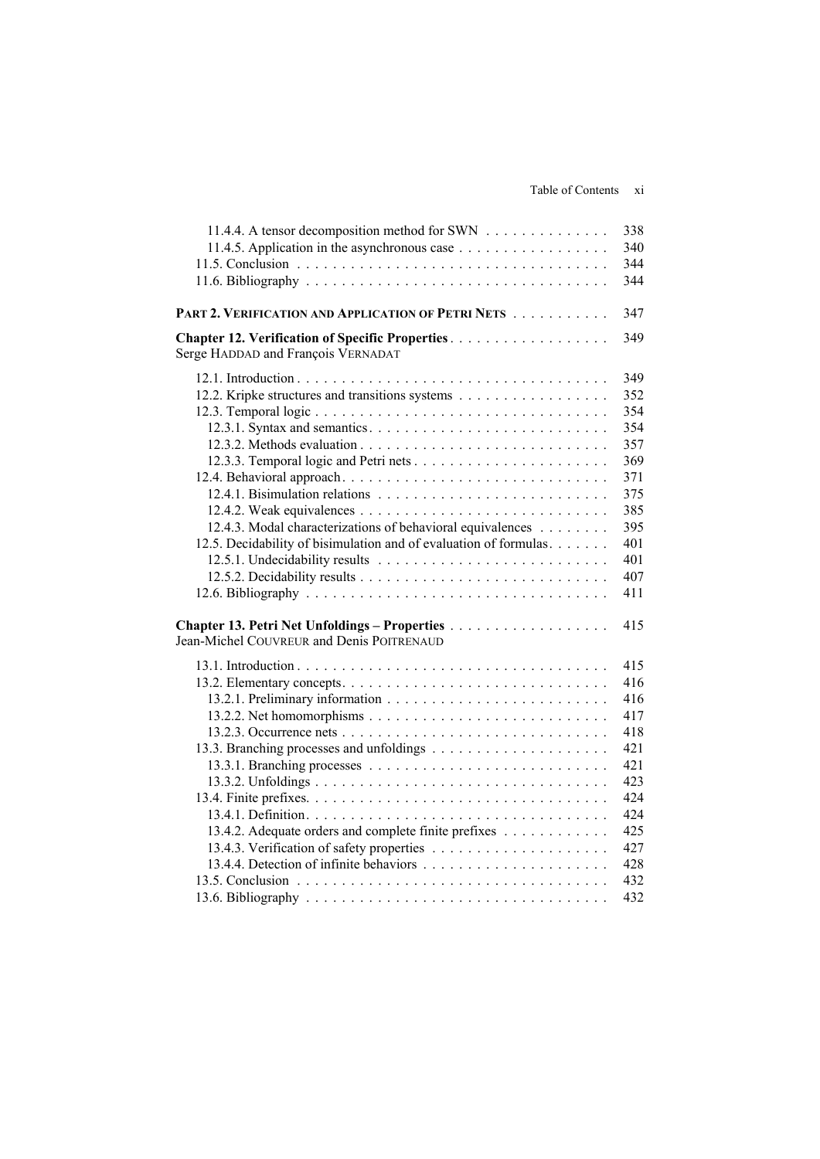| 11.4.4. A tensor decomposition method for SWN                     | 338 |
|-------------------------------------------------------------------|-----|
|                                                                   | 340 |
|                                                                   | 344 |
|                                                                   | 344 |
| PART 2. VERIFICATION AND APPLICATION OF PETRI NETS                | 347 |
| Serge HADDAD and François VERNADAT                                | 349 |
|                                                                   | 349 |
| 12.2. Kripke structures and transitions systems                   | 352 |
|                                                                   | 354 |
|                                                                   | 354 |
|                                                                   | 357 |
|                                                                   | 369 |
|                                                                   | 371 |
|                                                                   | 375 |
|                                                                   | 385 |
| 12.4.3. Modal characterizations of behavioral equivalences        | 395 |
| 12.5. Decidability of bisimulation and of evaluation of formulas. | 401 |
|                                                                   | 401 |
|                                                                   | 407 |
|                                                                   | 411 |
| Jean-Michel COUVREUR and Denis POITRENAUD                         | 415 |
|                                                                   | 415 |
|                                                                   | 416 |
|                                                                   | 416 |
|                                                                   | 417 |
|                                                                   | 418 |
|                                                                   | 421 |
|                                                                   | 421 |
|                                                                   | 423 |
|                                                                   | 424 |
|                                                                   | 424 |
| 13.4.2. Adequate orders and complete finite prefixes              | 425 |
|                                                                   | 427 |
|                                                                   | 428 |
|                                                                   | 432 |
|                                                                   | 432 |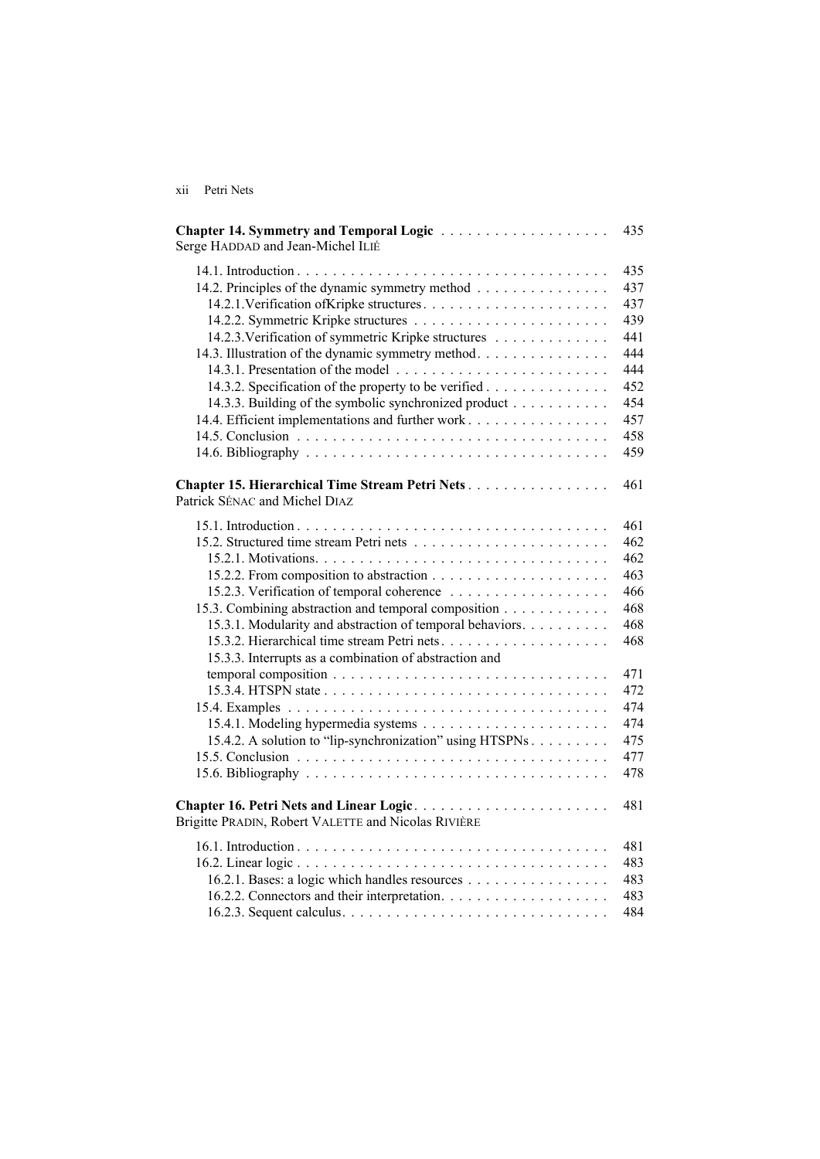| X 11 | Petri Nets |
|------|------------|
|      |            |
|      |            |

| Chapter 14. Symmetry and Temporal Logic<br>Serge HADDAD and Jean-Michel ILIÉ                                                                                                                                                                                                                                                      | 435                                                                                                   |
|-----------------------------------------------------------------------------------------------------------------------------------------------------------------------------------------------------------------------------------------------------------------------------------------------------------------------------------|-------------------------------------------------------------------------------------------------------|
| 14.2. Principles of the dynamic symmetry method<br>14.2.3. Verification of symmetric Kripke structures<br>14.3. Illustration of the dynamic symmetry method.<br>14.3.2. Specification of the property to be verified<br>14.3.3. Building of the symbolic synchronized product<br>14.4. Efficient implementations and further work | 435<br>437<br>437<br>439<br>441<br>444<br>444<br>452<br>454<br>457<br>458<br>459                      |
| Chapter 15. Hierarchical Time Stream Petri Nets.<br>Patrick SÉNAC and Michel DIAZ                                                                                                                                                                                                                                                 | 461                                                                                                   |
| 15.3. Combining abstraction and temporal composition<br>15.3.1. Modularity and abstraction of temporal behaviors.<br>15.3.2. Hierarchical time stream Petri nets<br>15.3.3. Interrupts as a combination of abstraction and<br>15.4.2. A solution to "lip-synchronization" using HTSPNs                                            | 461<br>462<br>462<br>463<br>466<br>468<br>468<br>468<br>471<br>472<br>474<br>474<br>475<br>477<br>478 |
| Chapter 16. Petri Nets and Linear Logic<br>Brigitte PRADIN, Robert VALETTE and Nicolas RIVIÈRE                                                                                                                                                                                                                                    | 481                                                                                                   |
| 16.2.1. Bases: a logic which handles resources                                                                                                                                                                                                                                                                                    | 481<br>483<br>483<br>483<br>484                                                                       |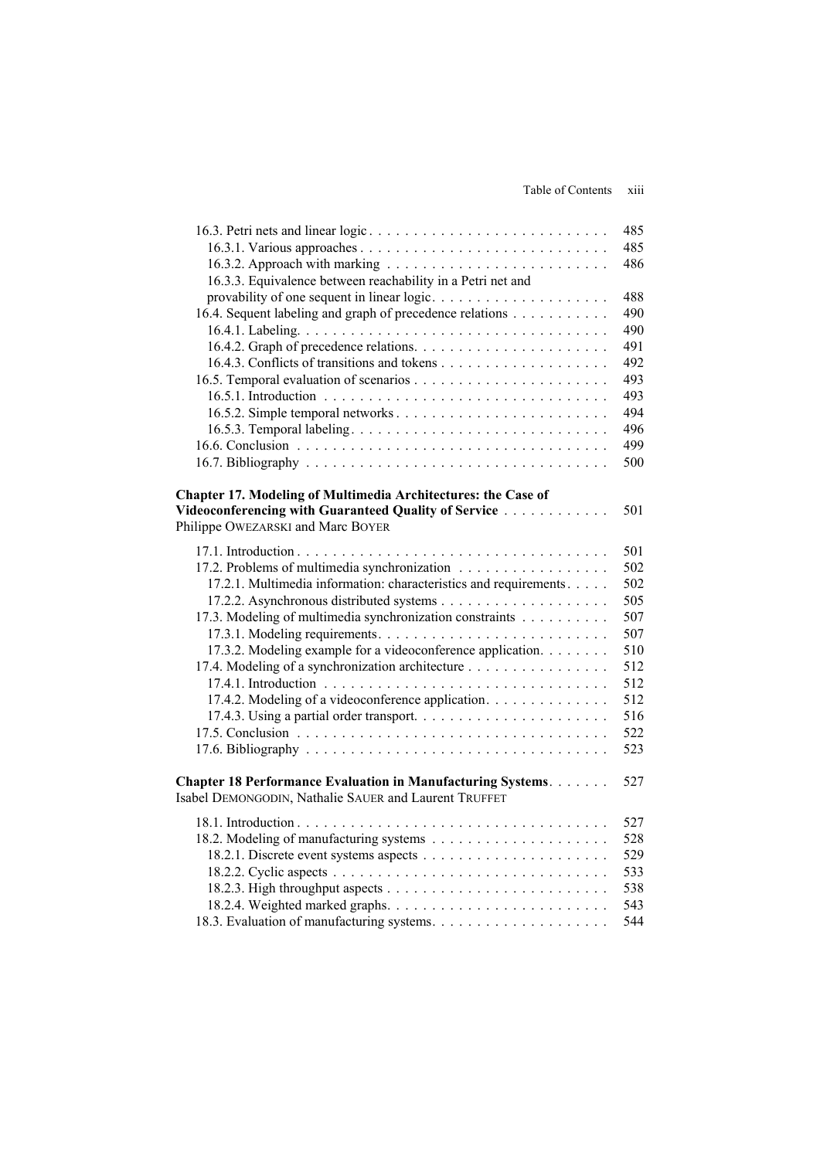Table of Contents xiii

|                                                                      | 485 |
|----------------------------------------------------------------------|-----|
|                                                                      | 485 |
|                                                                      | 486 |
| 16.3.3. Equivalence between reachability in a Petri net and          |     |
| provability of one sequent in linear logic                           | 488 |
| 16.4. Sequent labeling and graph of precedence relations             | 490 |
|                                                                      | 490 |
|                                                                      | 491 |
|                                                                      | 492 |
|                                                                      | 493 |
|                                                                      | 493 |
|                                                                      | 494 |
|                                                                      | 496 |
|                                                                      | 499 |
|                                                                      | 500 |
|                                                                      |     |
| <b>Chapter 17. Modeling of Multimedia Architectures: the Case of</b> |     |
| Videoconferencing with Guaranteed Quality of Service                 | 501 |
| Philippe OWEZARSKI and Marc BOYER                                    |     |
|                                                                      | 501 |
| 17.2. Problems of multimedia synchronization                         | 502 |
| 17.2.1. Multimedia information: characteristics and requirements     | 502 |
|                                                                      | 505 |
| 17.3. Modeling of multimedia synchronization constraints             | 507 |
|                                                                      | 507 |
| 17.3.2. Modeling example for a videoconference application.          | 510 |
| 17.4. Modeling of a synchronization architecture                     | 512 |
|                                                                      | 512 |
| 17.4.2. Modeling of a videoconference application.                   | 512 |
|                                                                      | 516 |
|                                                                      | 522 |
|                                                                      | 523 |
|                                                                      |     |
| <b>Chapter 18 Performance Evaluation in Manufacturing Systems</b>    | 527 |
| Isabel DEMONGODIN, Nathalie SAUER and Laurent TRUFFET                |     |
|                                                                      | 527 |
|                                                                      | 528 |
|                                                                      | 529 |
|                                                                      | 533 |
|                                                                      | 538 |
|                                                                      | 543 |
|                                                                      | 544 |